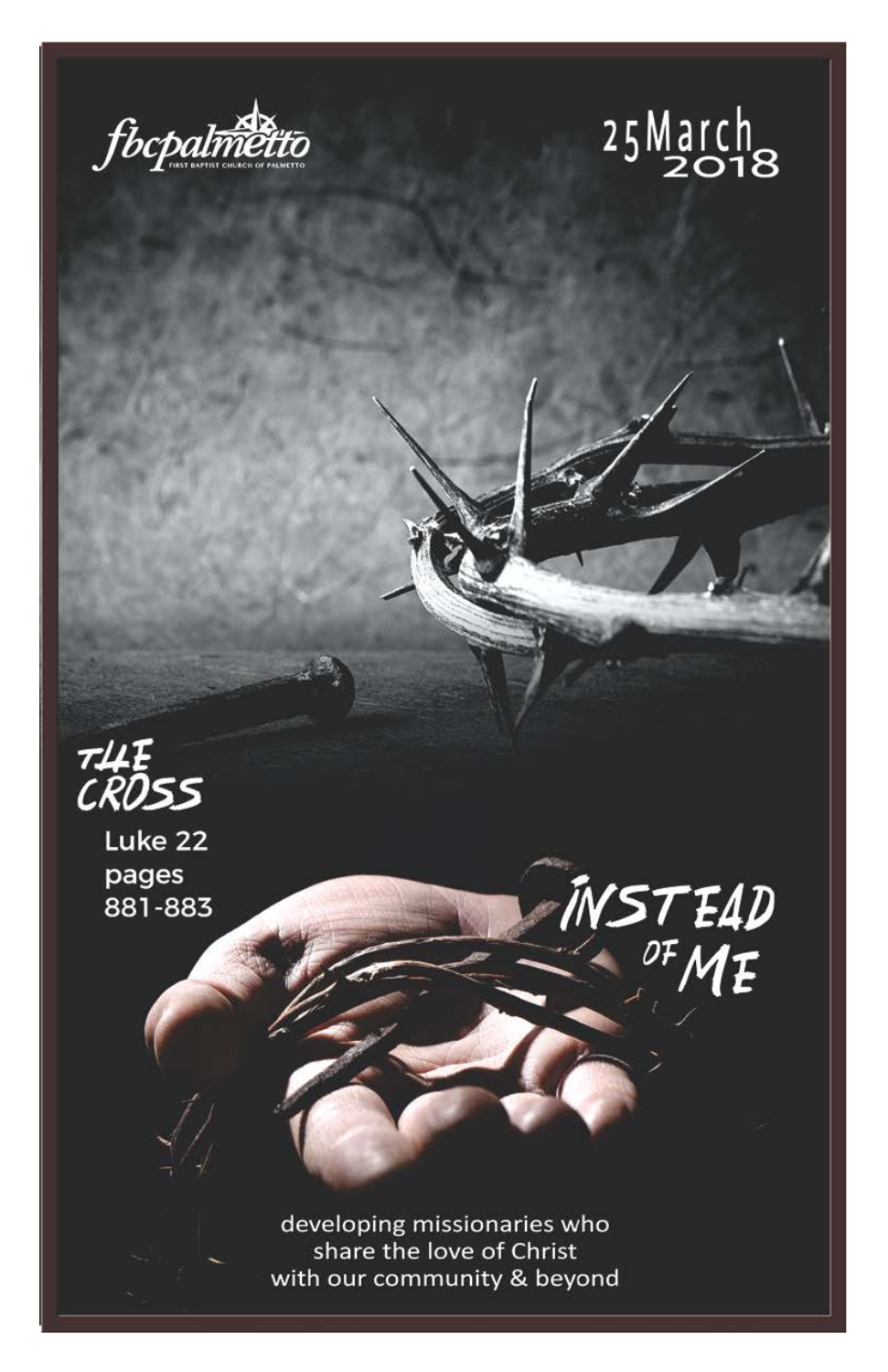



INSTEAD<br><sup>OF</sup>ME



Luke 22 pages 881-883

> developing missionaries who share the love of Christ with our community & beyond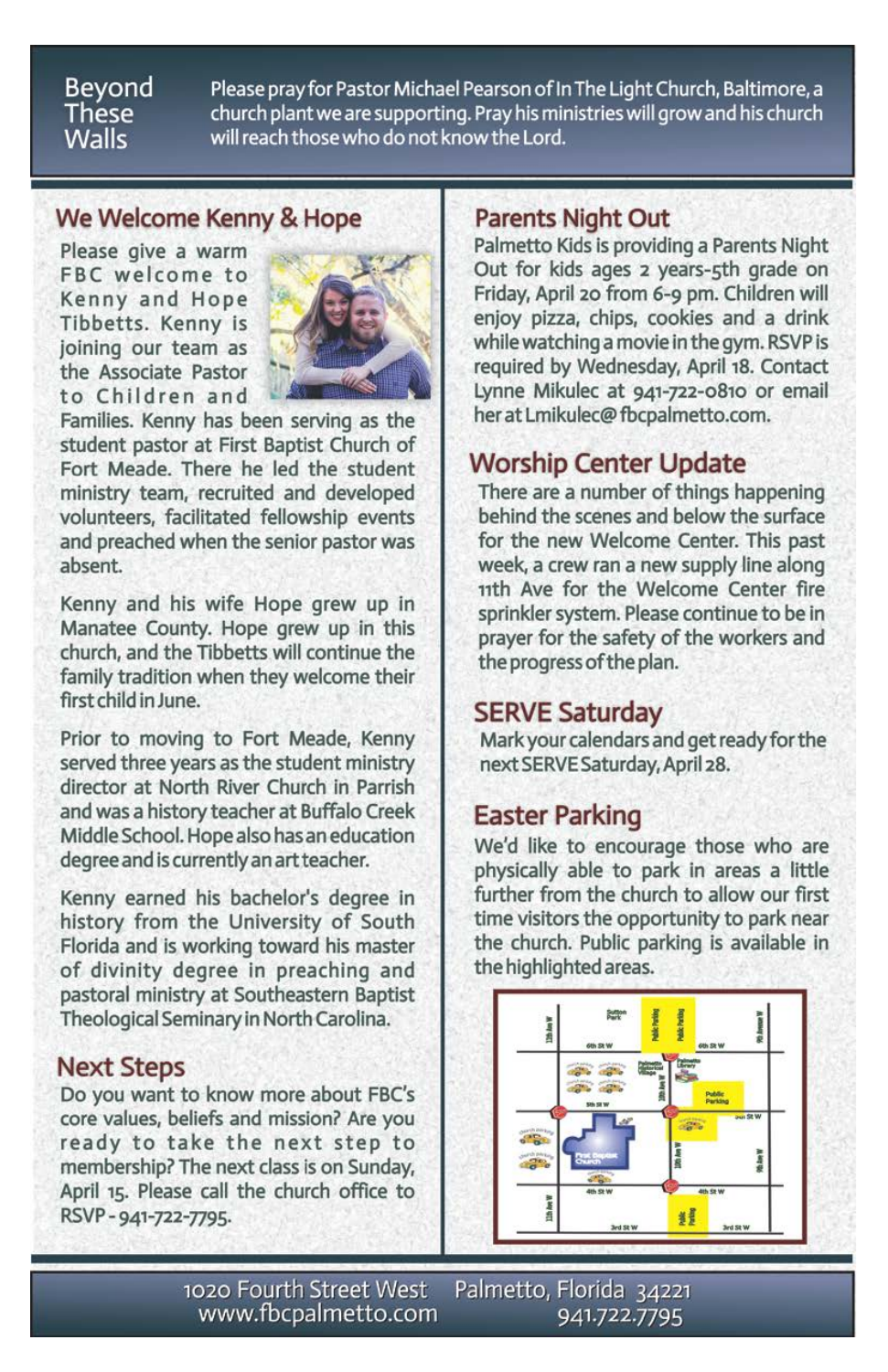#### Beyond These **Walls**

Please pray for Pastor Michael Pearson of In The Light Church, Baltimore, a church plant we are supporting. Pray his ministries will grow and his church will reach those who do not know the Lord.

### We Welcome Kenny & Hope

Please give a warm FBC welcome to Kenny and Hope Tibbetts. Kenny is joining our team as the Associate Pastor to Children and



Families. Kenny has been serving as the student pastor at First Baptist Church of Fort Meade. There he led the student ministry team, recruited and developed volunteers, facilitated fellowship events and preached when the senior pastor was absent.

Kenny and his wife Hope grew up in Manatee County. Hope grew up in this church, and the Tibbetts will continue the family tradition when they welcome their first child in June.

Prior to moving to Fort Meade, Kenny served three years as the student ministry director at North River Church in Parrish and was a history teacher at Buffalo Creek Middle School. Hope also has an education degree and is currently an art teacher.

Kenny earned his bachelor's degree in history from the University of South Florida and is working toward his master of divinity degree in preaching and pastoral ministry at Southeastern Baptist Theological Seminary in North Carolina.

### **Next Steps**

Do you want to know more about FBC's core values, beliefs and mission? Are you ready to take the next step to membership? The next class is on Sunday, April 15. Please call the church office to RSVP-941-722-7795.

### **Parents Night Out**

Palmetto Kids is providing a Parents Night Out for kids ages 2 years-5th grade on Friday, April 20 from 6-9 pm. Children will enjoy pizza, chips, cookies and a drink while watching a movie in the gym. RSVP is required by Wednesday, April 18. Contact Lynne Mikulec at 941-722-0810 or email her at Lmikulec@fbcpalmetto.com.

## **Worship Center Update**

There are a number of things happening behind the scenes and below the surface for the new Welcome Center. This past week, a crew ran a new supply line along 11th Ave for the Welcome Center fire sprinkler system. Please continue to be in prayer for the safety of the workers and the progress of the plan.

### **SERVE Saturday**

Mark your calendars and get ready for the next SERVE Saturday, April 28.

### **Easter Parking**

We'd like to encourage those who are physically able to park in areas a little further from the church to allow our first time visitors the opportunity to park near the church. Public parking is available in the highlighted areas.



1020 Fourth Street West Palmetto, Florida 34221 www.fbcpalmetto.com 941.722.7795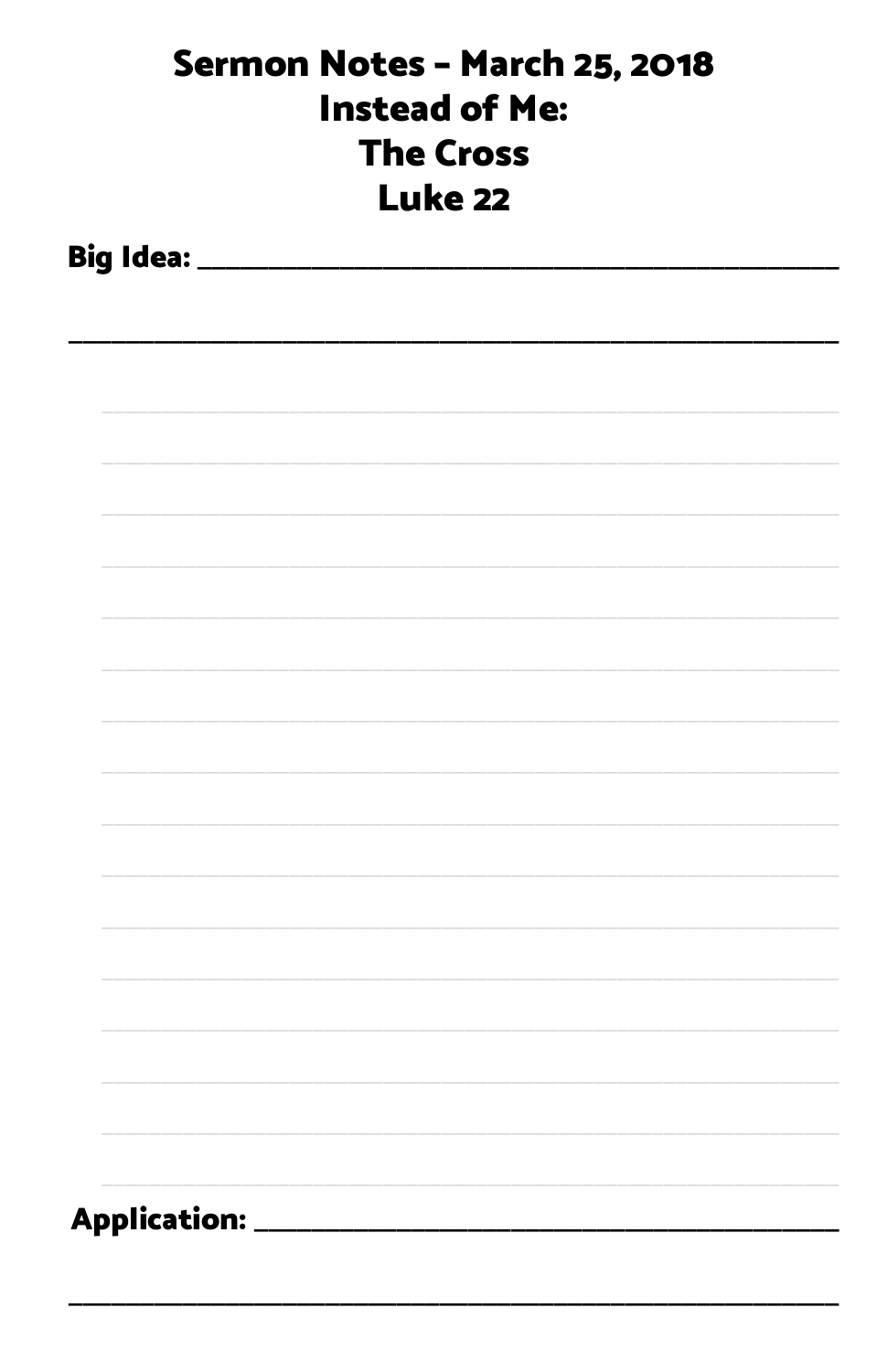| Sermon Notes - March 25, 2018<br><b>Instead of Me:</b><br><b>The Cross</b><br><b>Luke 22</b> |  |  |  |  |
|----------------------------------------------------------------------------------------------|--|--|--|--|
|                                                                                              |  |  |  |  |
|                                                                                              |  |  |  |  |
|                                                                                              |  |  |  |  |
|                                                                                              |  |  |  |  |
|                                                                                              |  |  |  |  |
|                                                                                              |  |  |  |  |
|                                                                                              |  |  |  |  |
|                                                                                              |  |  |  |  |
|                                                                                              |  |  |  |  |
|                                                                                              |  |  |  |  |
|                                                                                              |  |  |  |  |
|                                                                                              |  |  |  |  |
|                                                                                              |  |  |  |  |
|                                                                                              |  |  |  |  |
|                                                                                              |  |  |  |  |
|                                                                                              |  |  |  |  |
| Application:                                                                                 |  |  |  |  |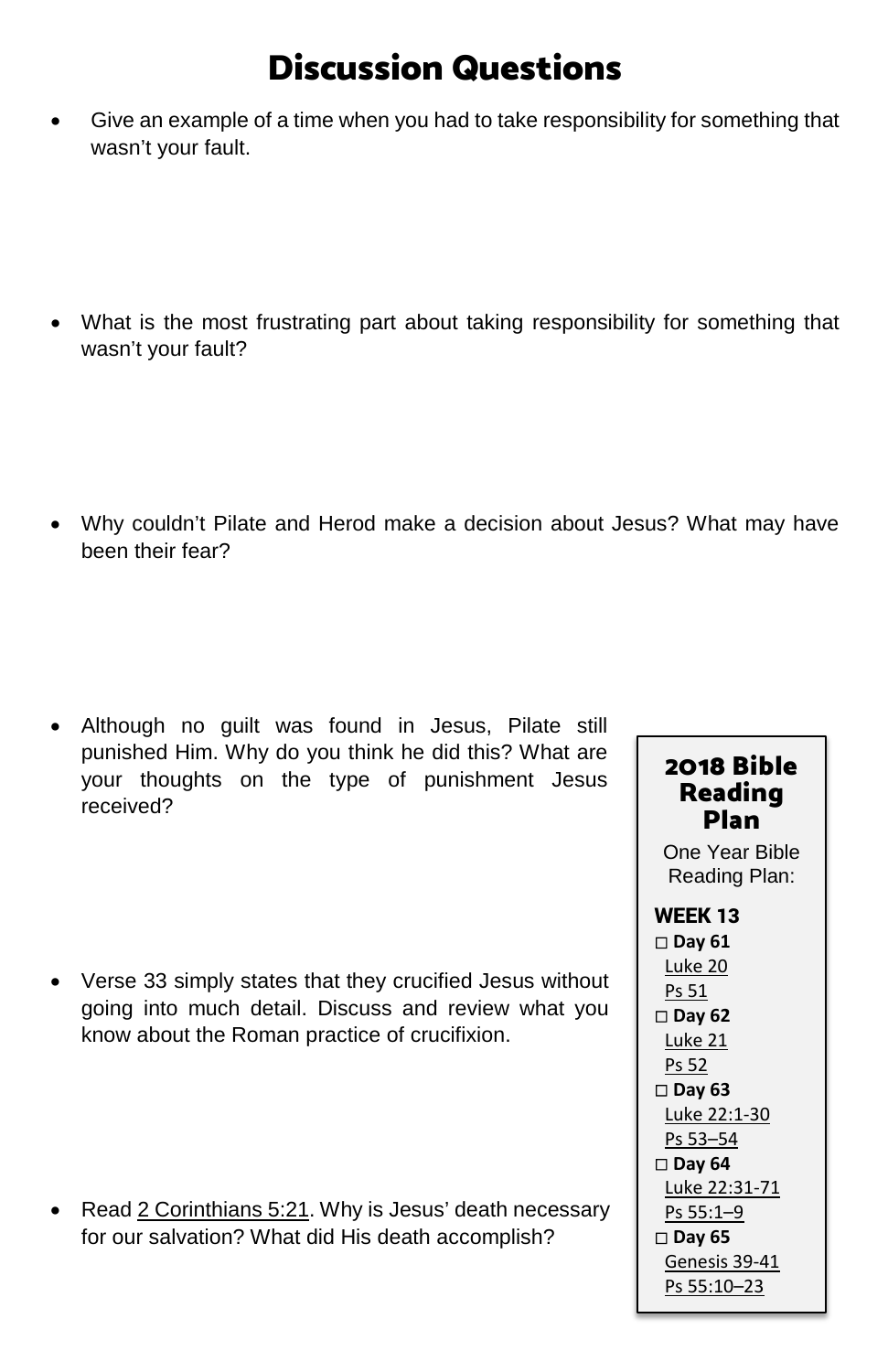# Discussion Questions

• Give an example of a time when you had to take responsibility for something that wasn't your fault.

• What is the most frustrating part about taking responsibility for something that wasn't your fault?

• Why couldn't Pilate and Herod make a decision about Jesus? What may have been their fear?

• Although no guilt was found in Jesus, Pilate still punished Him. Why do you think he did this? What are your thoughts on the type of punishment Jesus received?

• Verse 33 simply states that they crucified Jesus without going into much detail. Discuss and review what you know about the Roman practice of crucifixion.

• Read [2 Corinthians 5:21.](https://www.biblegateway.com/passage/?search=2+Corinthians+5%3A21&version=ESV) Why is Jesus' death necessary for our salvation? What did His death accomplish?

### 2018 Bible Reading Plan

One Year Bible Reading Plan:

WEEK 13 **Day 61** [Luke 20](https://www.biblegateway.com/passage/?search=Luke+20&version=ESV) [Ps 51](https://www.biblegateway.com/passage/?search=Ps+51&version=ESV) **Day 62** [Luke 21](https://www.biblegateway.com/passage/?search=Luke+21&version=ESV) [Ps 52](https://www.biblegateway.com/passage/?search=Ps+52&version=ESV) **Day 63** [Luke 22:1-30](https://www.biblegateway.com/passage/?search=Luke+22%3A1-30&version=ESV) [Ps 53–54](https://www.biblegateway.com/passage/?search=Ps+53%E2%80%9354&version=ESV) **Day 64** [Luke 22:31-71](https://www.biblegateway.com/passage/?search=Luke+22%3A31-71&version=ESV) [Ps 55:1–9](https://www.biblegateway.com/passage/?search=Ps+55%3A1%E2%80%939&version=ESV) **Day 65** [Genesis 39-41](https://www.biblegateway.com/passage/?search=Genesis+39-41&version=ESV) [Ps 55:10–23](https://www.biblegateway.com/passage/?search=Ps+55%3A10%E2%80%9323&version=ESV)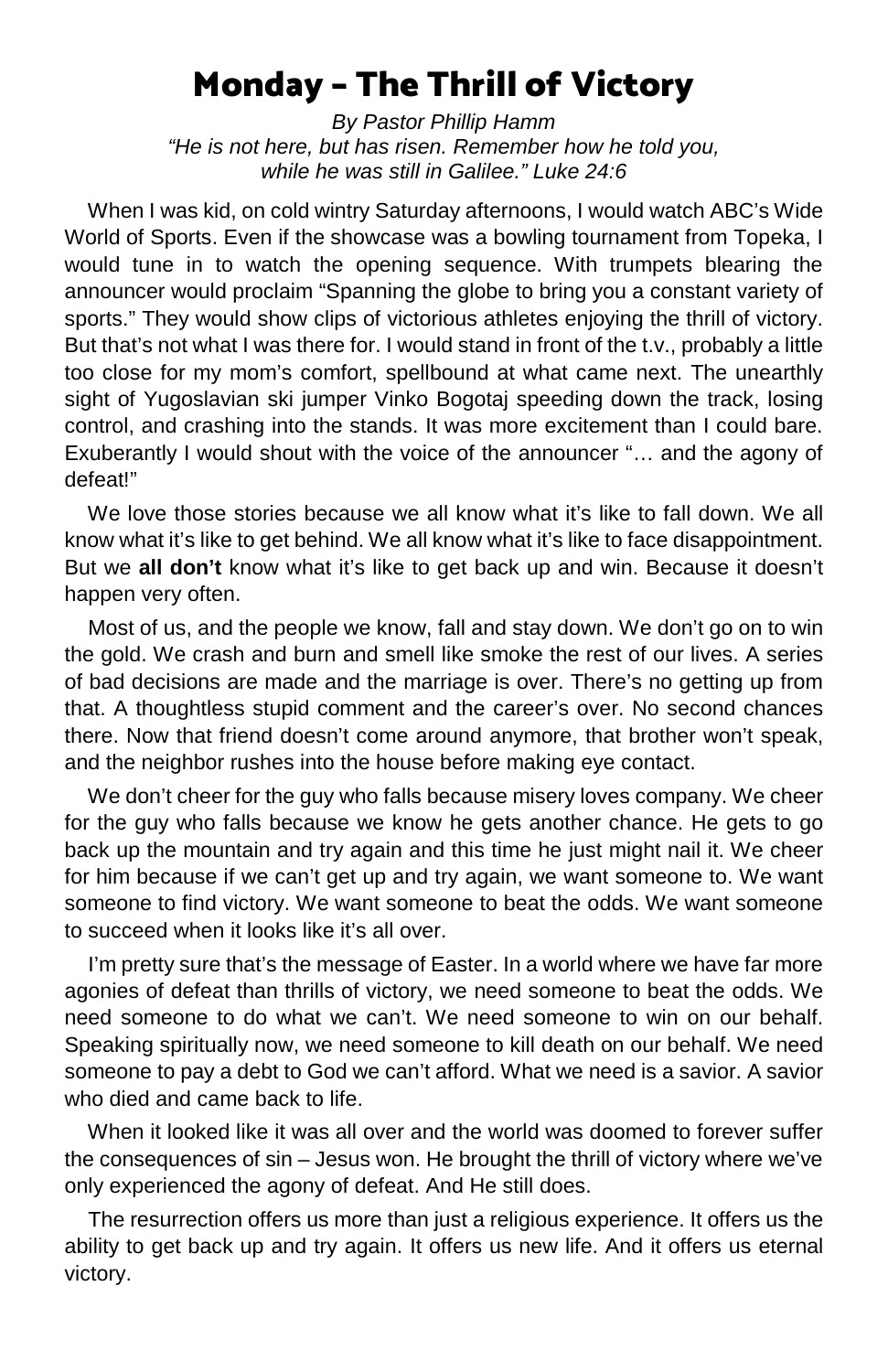# Monday – The Thrill of Victory

*By Pastor Phillip Hamm "He is not here, but has risen. Remember how he told you, while he was still in Galilee." Luke 24:6*

 When I was kid, on cold wintry Saturday afternoons, I would watch ABC's Wide World of Sports. Even if the showcase was a bowling tournament from Topeka, I would tune in to watch the opening sequence. With trumpets blearing the announcer would proclaim "Spanning the globe to bring you a constant variety of sports." They would show clips of victorious athletes enjoying the thrill of victory. But that's not what I was there for. I would stand in front of the t.v., probably a little too close for my mom's comfort, spellbound at what came next. The unearthly sight of Yugoslavian ski jumper Vinko Bogotaj speeding down the track, losing control, and crashing into the stands. It was more excitement than I could bare. Exuberantly I would shout with the voice of the announcer "… and the agony of defeat!"

We love those stories because we all know what it's like to fall down. We all know what it's like to get behind. We all know what it's like to face disappointment. But we **all don't** know what it's like to get back up and win. Because it doesn't happen very often.

 Most of us, and the people we know, fall and stay down. We don't go on to win the gold. We crash and burn and smell like smoke the rest of our lives. A series of bad decisions are made and the marriage is over. There's no getting up from that. A thoughtless stupid comment and the career's over. No second chances there. Now that friend doesn't come around anymore, that brother won't speak, and the neighbor rushes into the house before making eye contact.

We don't cheer for the guy who falls because misery loves company. We cheer for the guy who falls because we know he gets another chance. He gets to go back up the mountain and try again and this time he just might nail it. We cheer for him because if we can't get up and try again, we want someone to. We want someone to find victory. We want someone to beat the odds. We want someone to succeed when it looks like it's all over.

 I'm pretty sure that's the message of Easter. In a world where we have far more agonies of defeat than thrills of victory, we need someone to beat the odds. We need someone to do what we can't. We need someone to win on our behalf. Speaking spiritually now, we need someone to kill death on our behalf. We need someone to pay a debt to God we can't afford. What we need is a savior. A savior who died and came back to life.

 When it looked like it was all over and the world was doomed to forever suffer the consequences of sin – Jesus won. He brought the thrill of victory where we've only experienced the agony of defeat. And He still does.

 The resurrection offers us more than just a religious experience. It offers us the ability to get back up and try again. It offers us new life. And it offers us eternal victory.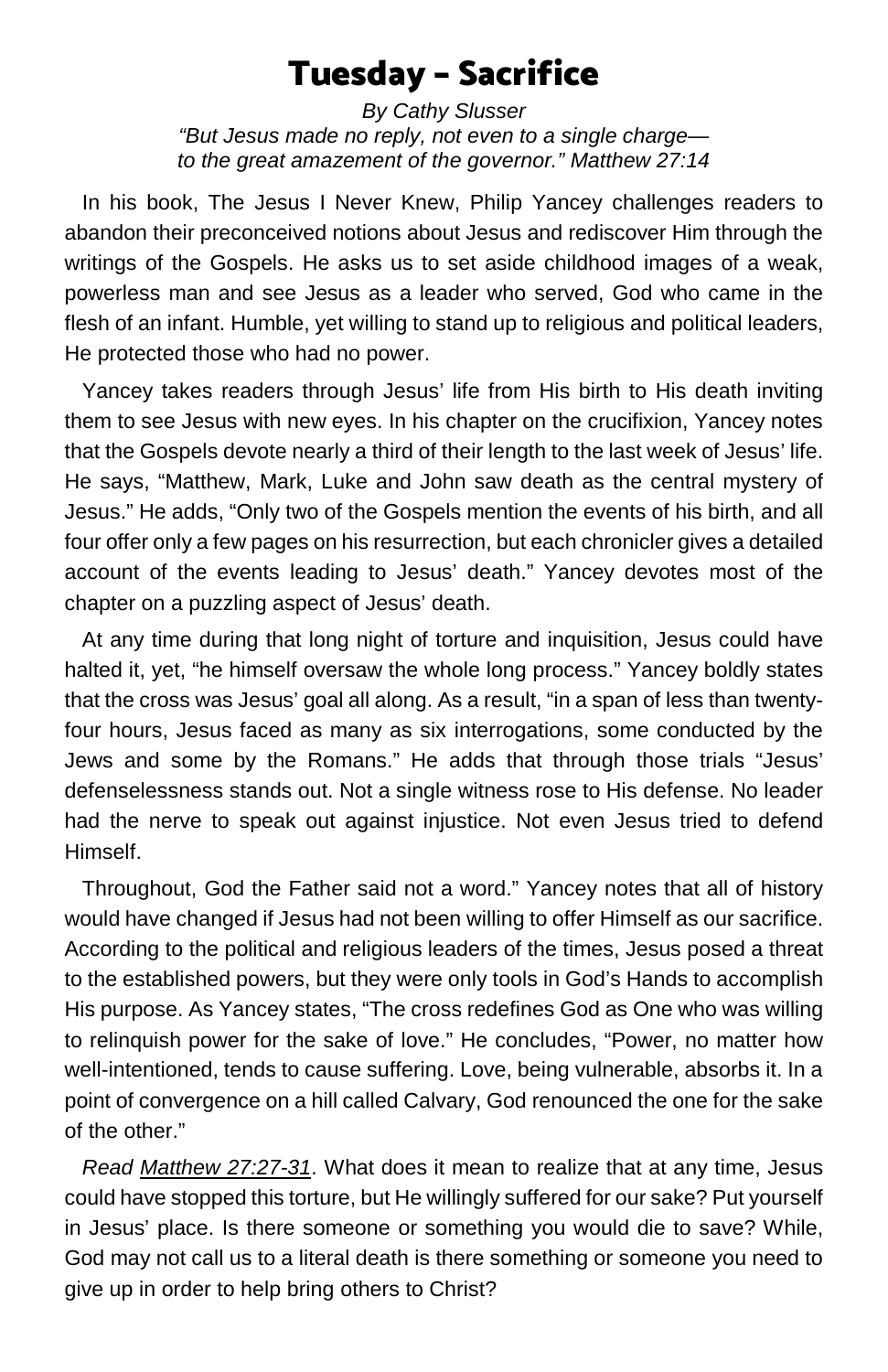# Tuesday – Sacrifice

*By Cathy Slusser "But Jesus made no reply, not even to a single charge to the great amazement of the governor." Matthew 27:14*

 In his book, The Jesus I Never Knew, Philip Yancey challenges readers to abandon their preconceived notions about Jesus and rediscover Him through the writings of the Gospels. He asks us to set aside childhood images of a weak, powerless man and see Jesus as a leader who served, God who came in the flesh of an infant. Humble, yet willing to stand up to religious and political leaders, He protected those who had no power.

 Yancey takes readers through Jesus' life from His birth to His death inviting them to see Jesus with new eyes. In his chapter on the crucifixion, Yancey notes that the Gospels devote nearly a third of their length to the last week of Jesus' life. He says, "Matthew, Mark, Luke and John saw death as the central mystery of Jesus." He adds, "Only two of the Gospels mention the events of his birth, and all four offer only a few pages on his resurrection, but each chronicler gives a detailed account of the events leading to Jesus' death." Yancey devotes most of the chapter on a puzzling aspect of Jesus' death.

 At any time during that long night of torture and inquisition, Jesus could have halted it, yet, "he himself oversaw the whole long process." Yancey boldly states that the cross was Jesus' goal all along. As a result, "in a span of less than twentyfour hours, Jesus faced as many as six interrogations, some conducted by the Jews and some by the Romans." He adds that through those trials "Jesus' defenselessness stands out. Not a single witness rose to His defense. No leader had the nerve to speak out against injustice. Not even Jesus tried to defend Himself.

 Throughout, God the Father said not a word." Yancey notes that all of history would have changed if Jesus had not been willing to offer Himself as our sacrifice. According to the political and religious leaders of the times, Jesus posed a threat to the established powers, but they were only tools in God's Hands to accomplish His purpose. As Yancey states, "The cross redefines God as One who was willing to relinquish power for the sake of love." He concludes, "Power, no matter how well-intentioned, tends to cause suffering. Love, being vulnerable, absorbs it. In a point of convergence on a hill called Calvary, God renounced the one for the sake of the other."

 *Read [Matthew 27:27-31](https://www.biblegateway.com/passage/?search=Matthew+27%3A27-31&version=ESV)*. What does it mean to realize that at any time, Jesus could have stopped this torture, but He willingly suffered for our sake? Put yourself in Jesus' place. Is there someone or something you would die to save? While, God may not call us to a literal death is there something or someone you need to give up in order to help bring others to Christ?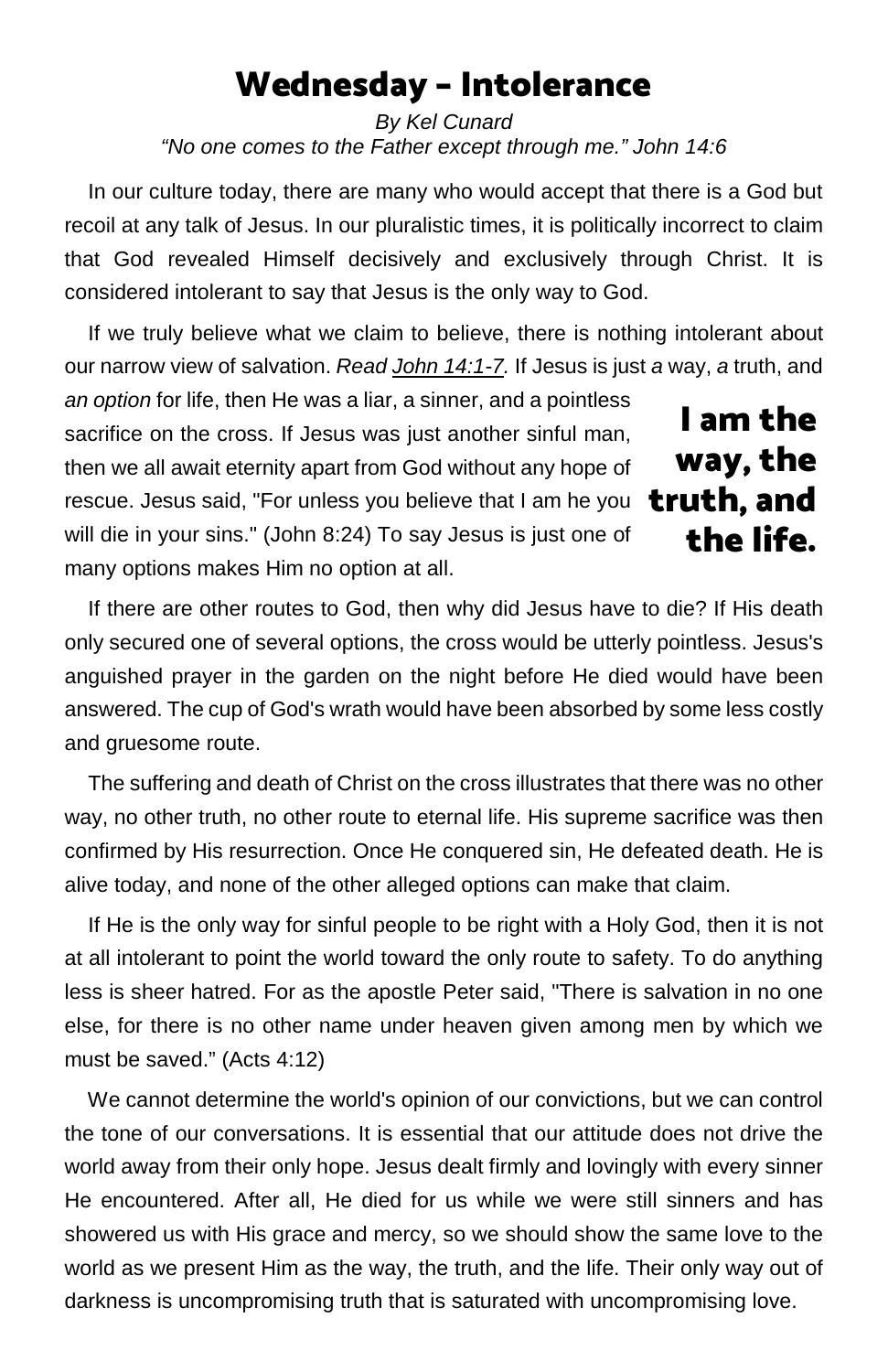# Wednesday – Intolerance

*By Kel Cunard "No one comes to the Father except through me." John 14:6*

 In our culture today, there are many who would accept that there is a God but recoil at any talk of Jesus. In our pluralistic times, it is politically incorrect to claim that God revealed Himself decisively and exclusively through Christ. It is considered intolerant to say that Jesus is the only way to God.

 If we truly believe what we claim to believe, there is nothing intolerant about our narrow view of salvation. *Read [John 14:1-7.](https://www.biblegateway.com/passage/?search=John+14%3A1-7&version=ESV)* If Jesus is just *a* way, *a* truth, and

*an option* for life, then He was a liar, a sinner, and a pointless sacrifice on the cross. If Jesus was just another sinful man, then we all await eternity apart from God without any hope of rescue. Jesus said, "For unless you believe that I am he you will die in your sins." (John 8:24) To say Jesus is just one of many options makes Him no option at all.

I am the way, the truth, and the life.

 If there are other routes to God, then why did Jesus have to die? If His death only secured one of several options, the cross would be utterly pointless. Jesus's anguished prayer in the garden on the night before He died would have been answered. The cup of God's wrath would have been absorbed by some less costly and gruesome route.

 The suffering and death of Christ on the cross illustrates that there was no other way, no other truth, no other route to eternal life. His supreme sacrifice was then confirmed by His resurrection. Once He conquered sin, He defeated death. He is alive today, and none of the other alleged options can make that claim.

 If He is the only way for sinful people to be right with a Holy God, then it is not at all intolerant to point the world toward the only route to safety. To do anything less is sheer hatred. For as the apostle Peter said, "There is salvation in no one else, for there is no other name under heaven given among men by which we must be saved." (Acts 4:12)

 We cannot determine the world's opinion of our convictions, but we can control the tone of our conversations. It is essential that our attitude does not drive the world away from their only hope. Jesus dealt firmly and lovingly with every sinner He encountered. After all, He died for us while we were still sinners and has showered us with His grace and mercy, so we should show the same love to the world as we present Him as the way, the truth, and the life. Their only way out of darkness is uncompromising truth that is saturated with uncompromising love.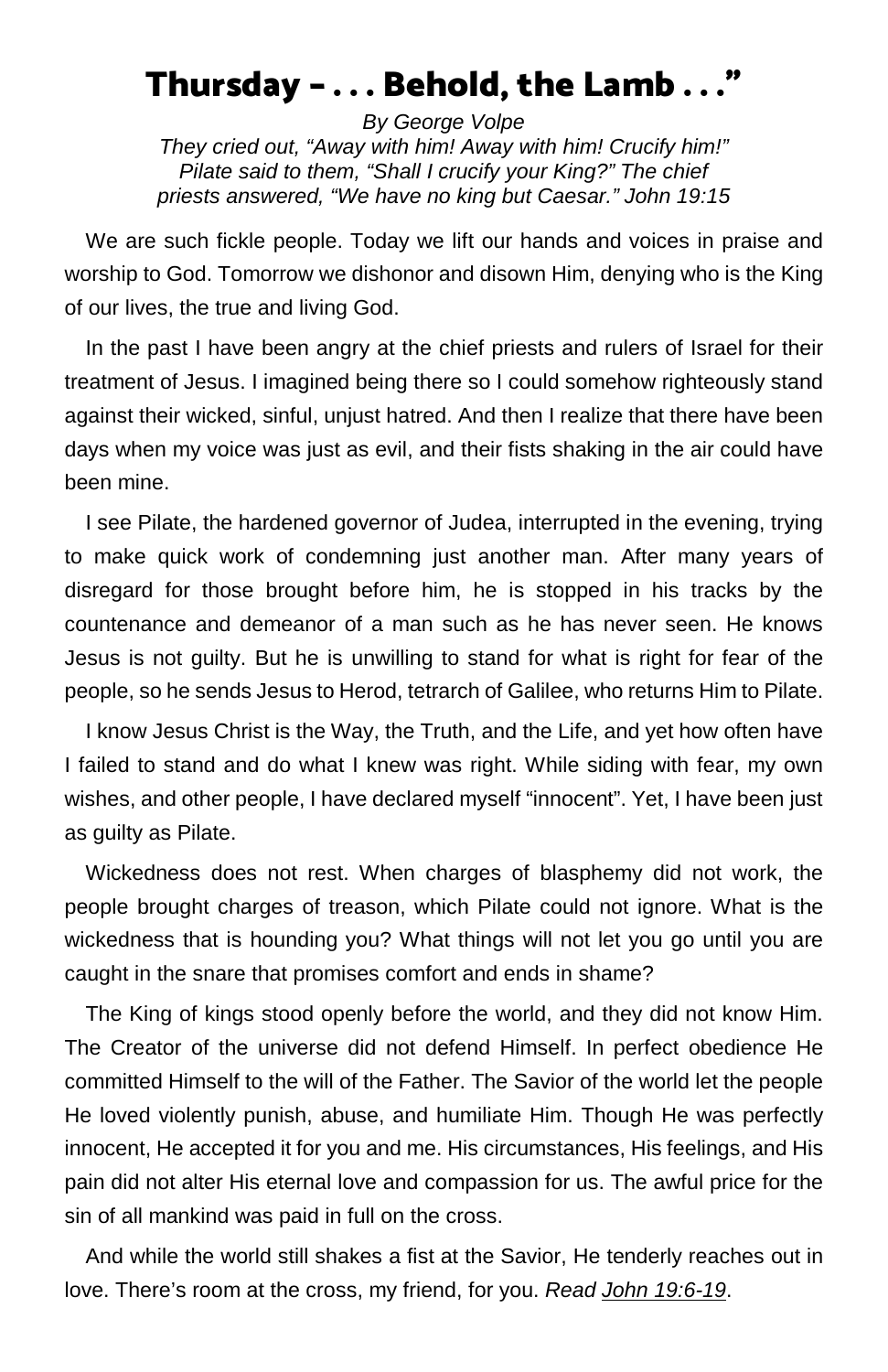## Thursday – . . . Behold, the Lamb . . ."

*By George Volpe They cried out, "Away with him! Away with him! Crucify him!" Pilate said to them, "Shall I crucify your King?" The chief priests answered, "We have no king but Caesar." John 19:15*

We are such fickle people. Today we lift our hands and voices in praise and worship to God. Tomorrow we dishonor and disown Him, denying who is the King of our lives, the true and living God.

In the past I have been angry at the chief priests and rulers of Israel for their treatment of Jesus. I imagined being there so I could somehow righteously stand against their wicked, sinful, unjust hatred. And then I realize that there have been days when my voice was just as evil, and their fists shaking in the air could have been mine.

I see Pilate, the hardened governor of Judea, interrupted in the evening, trying to make quick work of condemning just another man. After many years of disregard for those brought before him, he is stopped in his tracks by the countenance and demeanor of a man such as he has never seen. He knows Jesus is not guilty. But he is unwilling to stand for what is right for fear of the people, so he sends Jesus to Herod, tetrarch of Galilee, who returns Him to Pilate.

I know Jesus Christ is the Way, the Truth, and the Life, and yet how often have I failed to stand and do what I knew was right. While siding with fear, my own wishes, and other people, I have declared myself "innocent". Yet, I have been just as guilty as Pilate.

Wickedness does not rest. When charges of blasphemy did not work, the people brought charges of treason, which Pilate could not ignore. What is the wickedness that is hounding you? What things will not let you go until you are caught in the snare that promises comfort and ends in shame?

The King of kings stood openly before the world, and they did not know Him. The Creator of the universe did not defend Himself. In perfect obedience He committed Himself to the will of the Father. The Savior of the world let the people He loved violently punish, abuse, and humiliate Him. Though He was perfectly innocent, He accepted it for you and me. His circumstances, His feelings, and His pain did not alter His eternal love and compassion for us. The awful price for the sin of all mankind was paid in full on the cross.

And while the world still shakes a fist at the Savior, He tenderly reaches out in love. There's room at the cross, my friend, for you. *Read [John 19:6-19](https://www.biblegateway.com/passage/?search=John+19%3A6-19&version=ESV)*.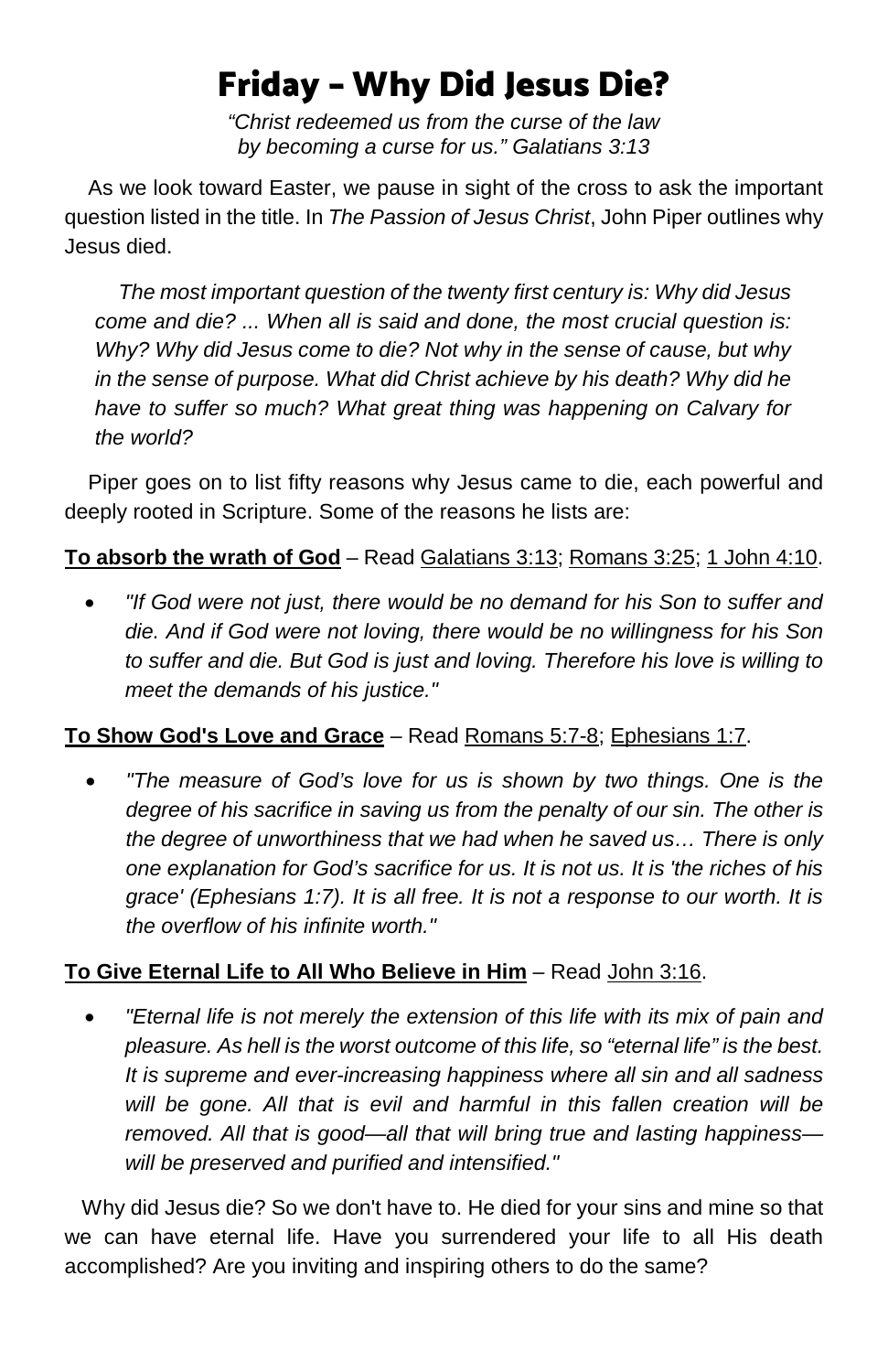# Friday – Why Did Jesus Die?

*"Christ redeemed us from the curse of the law by becoming a curse for us." Galatians 3:13*

 As we look toward Easter, we pause in sight of the cross to ask the important question listed in the title. In *The Passion of Jesus Christ*, John Piper outlines why Jesus died.

 *The most important question of the twenty first century is: Why did Jesus come and die? ... When all is said and done, the most crucial question is: Why? Why did Jesus come to die? Not why in the sense of cause, but why in the sense of purpose. What did Christ achieve by his death? Why did he have to suffer so much? What great thing was happening on Calvary for the world?*

 Piper goes on to list fifty reasons why Jesus came to die, each powerful and deeply rooted in Scripture. Some of the reasons he lists are:

### **To absorb the wrath of God** – Rea[d Galatians 3:13;](https://www.biblegateway.com/passage/?search=Galatians+3%3A13&version=ESV) [Romans 3:25;](https://www.biblegateway.com/passage/?search=Romans+3%3A25&version=ESV) [1 John 4:10.](https://www.biblegateway.com/passage/?search=1+John+4%3A10&version=ESV)

• *"If God were not just, there would be no demand for his Son to suffer and die. And if God were not loving, there would be no willingness for his Son to suffer and die. But God is just and loving. Therefore his love is willing to meet the demands of his justice."*

### **To Show God's Love and Grace** – Read [Romans 5:7-8;](https://www.biblegateway.com/passage/?search=Romans+5%3A7-8&version=ESV) [Ephesians 1:7.](https://www.biblegateway.com/passage/?search=Ephesians+1%3A7&version=ESV)

• *"The measure of God's love for us is shown by two things. One is the degree of his sacrifice in saving us from the penalty of our sin. The other is the degree of unworthiness that we had when he saved us… There is only one explanation for God's sacrifice for us. It is not us. It is 'the riches of his grace' (Ephesians 1:7). It is all free. It is not a response to our worth. It is the overflow of his infinite worth."*

### **To Give Eternal Life to All Who Believe in Him** – Read [John 3:16.](https://www.biblegateway.com/passage/?search=John+3%3A16&version=ESV)

• *"Eternal life is not merely the extension of this life with its mix of pain and pleasure. As hell is the worst outcome of this life, so "eternal life" is the best. It is supreme and ever-increasing happiness where all sin and all sadness will be gone. All that is evil and harmful in this fallen creation will be removed. All that is good—all that will bring true and lasting happiness will be preserved and purified and intensified."*

 Why did Jesus die? So we don't have to. He died for your sins and mine so that we can have eternal life. Have you surrendered your life to all His death accomplished? Are you inviting and inspiring others to do the same?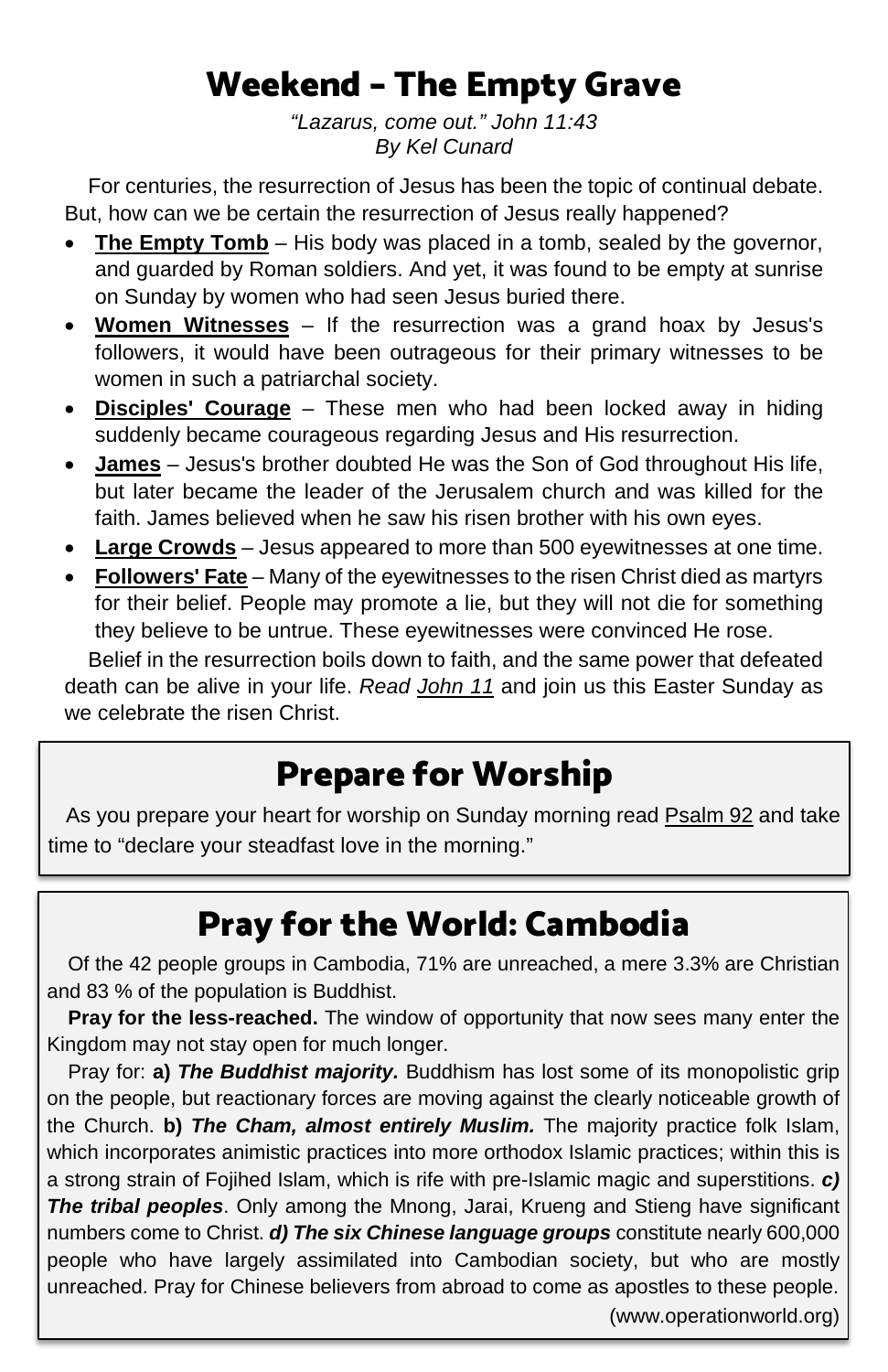# Weekend – The Empty Grave

*"Lazarus, come out." John 11:43 By Kel Cunard*

 For centuries, the resurrection of Jesus has been the topic of continual debate. But, how can we be certain the resurrection of Jesus really happened?

- **The Empty Tomb** His body was placed in a tomb, sealed by the governor, and guarded by Roman soldiers. And yet, it was found to be empty at sunrise on Sunday by women who had seen Jesus buried there.
- **Women Witnesses** If the resurrection was a grand hoax by Jesus's followers, it would have been outrageous for their primary witnesses to be women in such a patriarchal society.
- **Disciples' Courage** These men who had been locked away in hiding suddenly became courageous regarding Jesus and His resurrection.
- **James** Jesus's brother doubted He was the Son of God throughout His life, but later became the leader of the Jerusalem church and was killed for the faith. James believed when he saw his risen brother with his own eyes.
- **Large Crowds** Jesus appeared to more than 500 eyewitnesses at one time.
- **Followers' Fate** Many of the eyewitnesses to the risen Christ died as martyrs for their belief. People may promote a lie, but they will not die for something they believe to be untrue. These eyewitnesses were convinced He rose.

 Belief in the resurrection boils down to faith, and the same power that defeated death can be alive in your life. *Read [John 11](https://www.biblegateway.com/passage/?search=John+11&version=ESV)* and join us this Easter Sunday as we celebrate the risen Christ.

# Prepare for Worship

 As you prepare your heart for worship on Sunday morning rea[d Psalm 92](https://www.biblegateway.com/passage/?search=Psalm+92&version=ESV) and take time to "declare your steadfast love in the morning."

# Pray for the World: Cambodia

Of the 42 people groups in Cambodia, 71% are unreached, a mere 3.3% are Christian and 83 % of the population is Buddhist.

**Pray for the less-reached.** The window of opportunity that now sees many enter the Kingdom may not stay open for much longer.

Pray for: **a)** *The Buddhist majority.* Buddhism has lost some of its monopolistic grip on the people, but reactionary forces are moving against the clearly noticeable growth of the Church. **b)** *The Cham, almost entirely Muslim.* The majority practice folk Islam, which incorporates animistic practices into more orthodox Islamic practices; within this is a strong strain of Fojihed Islam, which is rife with pre-Islamic magic and superstitions. *c) The tribal peoples*. Only among the Mnong, Jarai, Krueng and Stieng have significant numbers come to Christ. *d) The six Chinese language groups* constitute nearly 600,000 people who have largely assimilated into Cambodian society, but who are mostly unreached. Pray for Chinese believers from abroad to come as apostles to these people. (www.operationworld.org)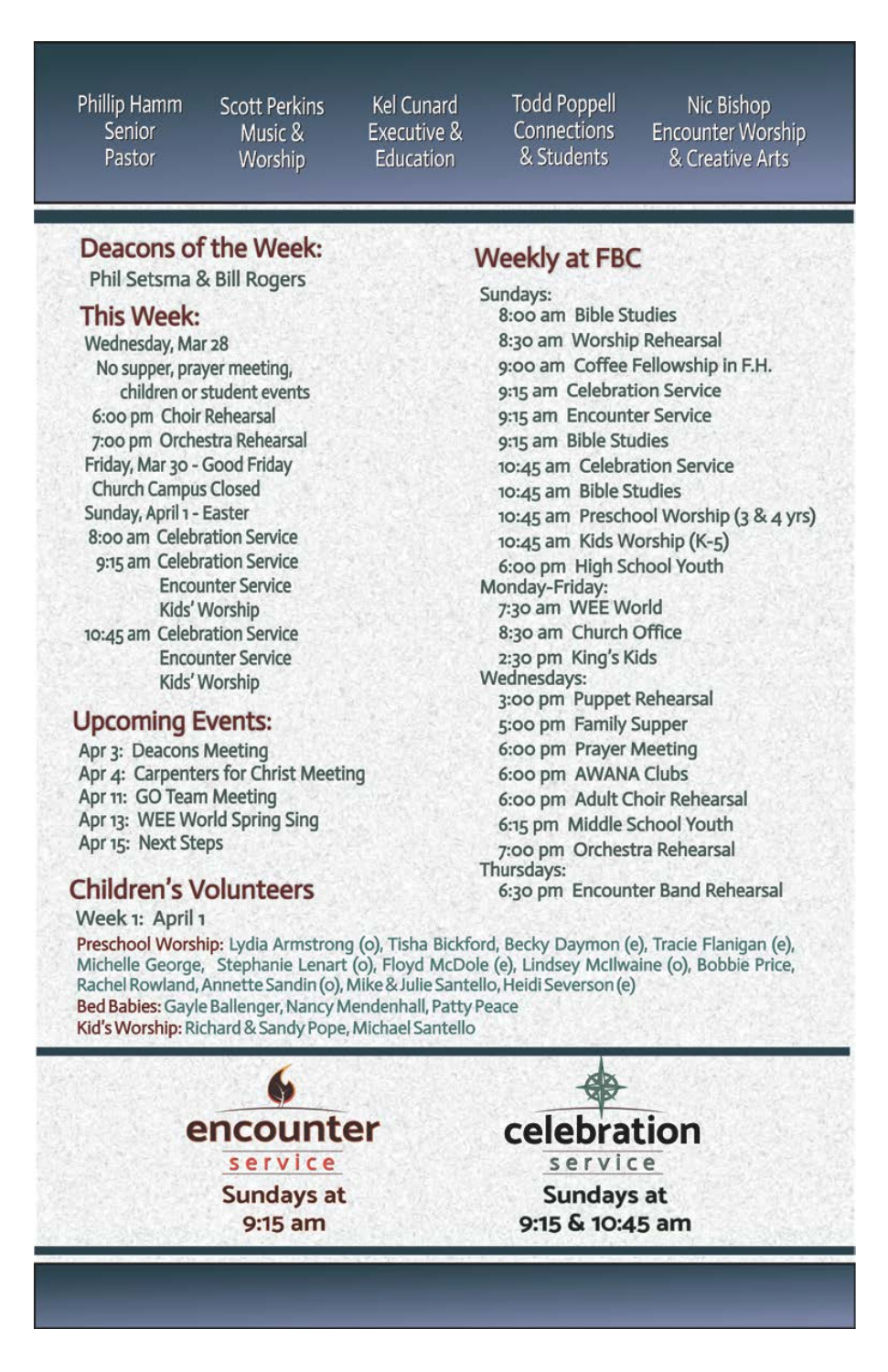Phillip Hamm Senior Pastor

**Scott Perkins** Music & Worship

Kel Cunard **Executive &** Education

**Todd Poppell** Connections & Students

Nic Bishop **Encounter Worship** & Creative Arts

### Deacons of the Week:

Phil Setsma & Bill Rogers

#### **This Week:**

Wednesday, Mar 28 No supper, prayer meeting, children or student events 6:00 pm Choir Rehearsal 7:00 pm Orchestra Rehearsal Friday, Mar 30 - Good Friday **Church Campus Closed** Sunday, April 1 - Easter 8:00 am Celebration Service 9:15 am Celebration Service **Encounter Service** Kids' Worship 10:45 am Celebration Service **Encounter Service** Kids' Worship

### **Upcoming Events:**

Apr 3: Deacons Meeting Apr 4: Carpenters for Christ Meeting Apr 11: GO Team Meeting Apr 13: WEE World Spring Sing Apr 15: Next Steps

## **Children's Volunteers**

Week 1: April 1

### **Weekly at FBC**

Sundays: 8:00 am Bible Studies 8:30 am Worship Rehearsal 9:00 am Coffee Fellowship in F.H. 9:15 am Celebration Service 9:15 am Encounter Service 9:15 am Bible Studies 10:45 am Celebration Service 10:45 am Bible Studies 10:45 am Preschool Worship (3 & 4 yrs) 10:45 am Kids Worship (K-5) 6:00 pm High School Youth Monday-Friday: 7:30 am WEE World 8:30 am Church Office 2:30 pm King's Kids Wednesdays: 3:00 pm Puppet Rehearsal 5:00 pm Family Supper 6:00 pm Prayer Meeting 6:00 pm AWANA Clubs 6:00 pm Adult Choir Rehearsal 6:15 pm Middle School Youth 7:00 pm Orchestra Rehearsal Thursdays: 6:30 pm Encounter Band Rehearsal

Preschool Worship: Lydia Armstrong (o), Tisha Bickford, Becky Daymon (e), Tracie Flanigan (e), Michelle George, Stephanie Lenart (o), Floyd McDole (e), Lindsey McIlwaine (o), Bobbie Price, Rachel Rowland, Annette Sandin (o), Mike & Julie Santello, Heidi Severson (e) Bed Babies: Gayle Ballenger, Nancy Mendenhall, Patty Peace Kid's Worship: Richard & Sandy Pope, Michael Santello